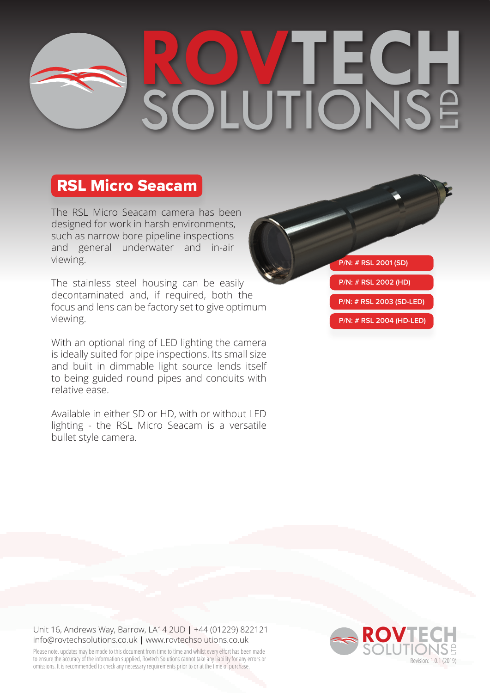# **ROVTECH** SOLUTIONS LTD

### RSL Micro Seacam

The RSL Micro Seacam camera has been designed for work in harsh environments, such as narrow bore pipeline inspections and general underwater and in-air viewing.

The stainless steel housing can be easily decontaminated and, if required, both the focus and lens can be factory set to give optimum viewing.

With an optional ring of LED lighting the camera is ideally suited for pipe inspections. Its small size and built in dimmable light source lends itself to being guided round pipes and conduits with relative ease.

Available in either SD or HD, with or without LED lighting - the RSL Micro Seacam is a versatile bullet style camera.

**P/N: # RSL 2001 (SD)**

**P/N: # RSL 2002 (HD)**

**P/N: # RSL 2003 (SD-LED)**

**P/N: # RSL 2004 (HD-LED)**

### Unit 16, Andrews Way, Barrow, LA14 2UD **|** +44 (01229) 822121 info@rovtechsolutions.co.uk **|** www.rovtechsolutions.co.uk

Please note, updates may be made to this document from time to time and whilst every effort has been made to ensure the accuracy of the information supplied, Rovtech Solutions cannot take any liability for any errors or to ensure the accuracy of the information supplied, Roviech Solutions cannot take any liability for any errors or<br>Omissions. It is recommended to check any necessary requirements prior to or at the time of purchase. The se